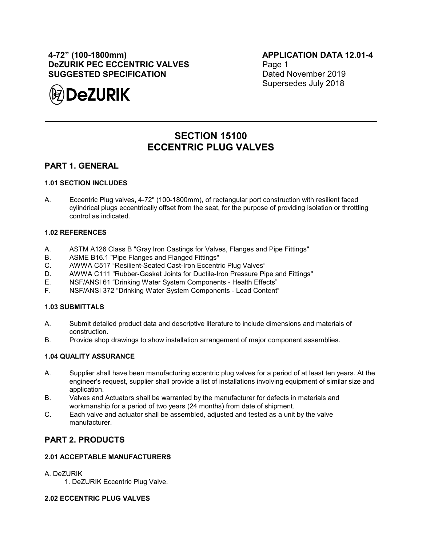## **4-72" (100-1800mm) DeZURIK PEC ECCENTRIC VALVES SUGGESTED SPECIFICATION**



**APPLICATION DATA 12.01-4** Page 1 Dated November 2019 Supersedes July 2018

# **SECTION 15100 ECCENTRIC PLUG VALVES**

### **PART 1. GENERAL**

### **1.01 SECTION INCLUDES**

A. Eccentric Plug valves, 4-72" (100-1800mm), of rectangular port construction with resilient faced cylindrical plugs eccentrically offset from the seat, for the purpose of providing isolation or throttling control as indicated.

#### **1.02 REFERENCES**

- A. ASTM A126 Class B "Gray Iron Castings for Valves, Flanges and Pipe Fittings"
- B. ASME B16.1 "Pipe Flanges and Flanged Fittings"
- C. AWWA C517 "Resilient-Seated Cast-Iron Eccentric Plug Valves"
- D. AWWA C111 "Rubber-Gasket Joints for Ductile-Iron Pressure Pipe and Fittings"
- E. NSF/ANSI 61 "Drinking Water System Components Health Effects"
- F. NSF/ANSI 372 "Drinking Water System Components Lead Content"

### **1.03 SUBMITTALS**

- A. Submit detailed product data and descriptive literature to include dimensions and materials of construction.
- B. Provide shop drawings to show installation arrangement of major component assemblies.

### **1.04 QUALITY ASSURANCE**

- A. Supplier shall have been manufacturing eccentric plug valves for a period of at least ten years. At the engineer's request, supplier shall provide a list of installations involving equipment of similar size and application.
- B. Valves and Actuators shall be warranted by the manufacturer for defects in materials and workmanship for a period of two years (24 months) from date of shipment.
- C. Each valve and actuator shall be assembled, adjusted and tested as a unit by the valve manufacturer.

### **PART 2. PRODUCTS**

### **2.01 ACCEPTABLE MANUFACTURERS**

#### A. DeZURIK

1. DeZURIK Eccentric Plug Valve.

#### **2.02 ECCENTRIC PLUG VALVES**